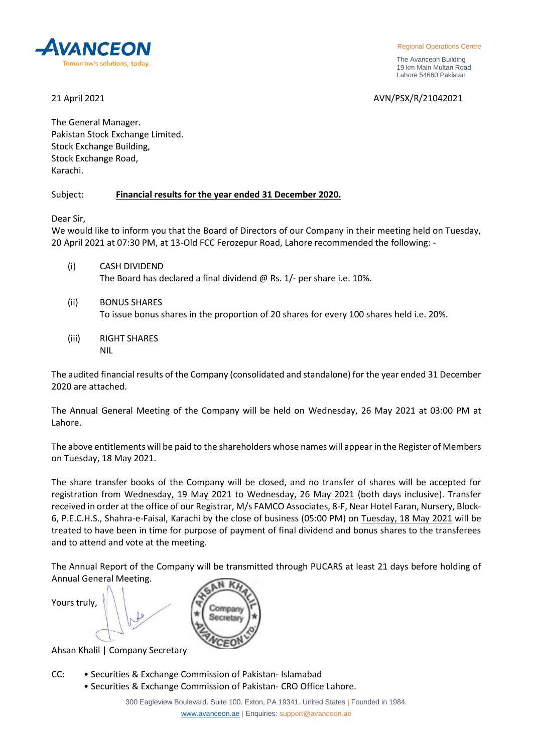

 The Avanceon Building 19 km Main Multan Road Lahore 54660 Pakistan

21 April 2021 AVN/PSX/R/21042021

The General Manager. Pakistan Stock Exchange Limited. Stock Exchange Building, Stock Exchange Road, Karachi.

## Subject: **Financial results for the year ended 31 December 2020.**

Dear Sir,

We would like to inform you that the Board of Directors of our Company in their meeting held on Tuesday, 20 April 2021 at 07:30 PM, at 13-Old FCC Ferozepur Road, Lahore recommended the following: -

- (i) CASH DIVIDEND The Board has declared a final dividend @ Rs. 1/- per share i.e. 10%.
- (ii) BONUS SHARES To issue bonus shares in the proportion of 20 shares for every 100 shares held i.e. 20%.
- (iii) RIGHT SHARES NIL

The audited financial results of the Company (consolidated and standalone) for the year ended 31 December 2020 are attached.

The Annual General Meeting of the Company will be held on Wednesday, 26 May 2021 at 03:00 PM at Lahore.

The above entitlements will be paid to the shareholders whose names will appear in the Register of Members on Tuesday, 18 May 2021.

The share transfer books of the Company will be closed, and no transfer of shares will be accepted for registration from Wednesday, 19 May 2021 to Wednesday, 26 May 2021 (both days inclusive). Transfer received in order at the office of our Registrar, M/s FAMCO Associates, 8-F, Near Hotel Faran, Nursery, Block-6, P.E.C.H.S., Shahra-e-Faisal, Karachi by the close of business (05:00 PM) on Tuesday, 18 May 2021 will be treated to have been in time for purpose of payment of final dividend and bonus shares to the transferees and to attend and vote at the meeting.

The Annual Report of the Company will be transmitted through PUCARS at least 21 days before holding of Annual General Meeting.  $\sqrt{N}$   $\overline{K}$ 

| Yours truly,                                 |  |
|----------------------------------------------|--|
| $A \cup A \cup B$ $B \cup B$ $C \cup C$<br>╭ |  |

Ahsan Khalil | Company Secretary

- CC: Securities & Exchange Commission of Pakistan- Islamabad
	- Securities & Exchange Commission of Pakistan- CRO Office Lahore.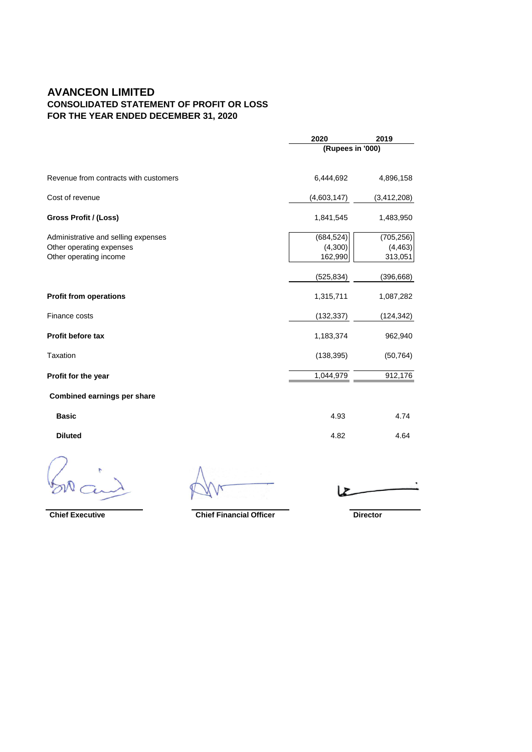## **AVANCEON LIMITED CONSOLIDATED STATEMENT OF PROFIT OR LOSS FOR THE YEAR ENDED DECEMBER 31, 2020**

|                                                                                           | 2020                             | 2019                              |  |
|-------------------------------------------------------------------------------------------|----------------------------------|-----------------------------------|--|
|                                                                                           |                                  | (Rupees in '000)                  |  |
| Revenue from contracts with customers                                                     | 6,444,692                        | 4,896,158                         |  |
| Cost of revenue                                                                           | (4,603,147)                      | (3,412,208)                       |  |
| Gross Profit / (Loss)                                                                     | 1,841,545                        | 1,483,950                         |  |
| Administrative and selling expenses<br>Other operating expenses<br>Other operating income | (684, 524)<br>(4,300)<br>162,990 | (705, 256)<br>(4, 463)<br>313,051 |  |
|                                                                                           | (525, 834)                       | (396, 668)                        |  |
| <b>Profit from operations</b>                                                             | 1,315,711                        | 1,087,282                         |  |
| Finance costs                                                                             | (132, 337)                       | (124, 342)                        |  |
| <b>Profit before tax</b>                                                                  | 1,183,374                        | 962,940                           |  |
| Taxation                                                                                  | (138, 395)                       | (50, 764)                         |  |
| Profit for the year                                                                       | 1,044,979                        | 912,176                           |  |
| Combined earnings per share                                                               |                                  |                                   |  |
| <b>Basic</b>                                                                              | 4.93                             | 4.74                              |  |
| <b>Diluted</b>                                                                            | 4.82                             | 4.64                              |  |
|                                                                                           |                                  |                                   |  |

,  $\mathbf{z}$ 

**Chief Executive Chief Financial Officer <b>Director**